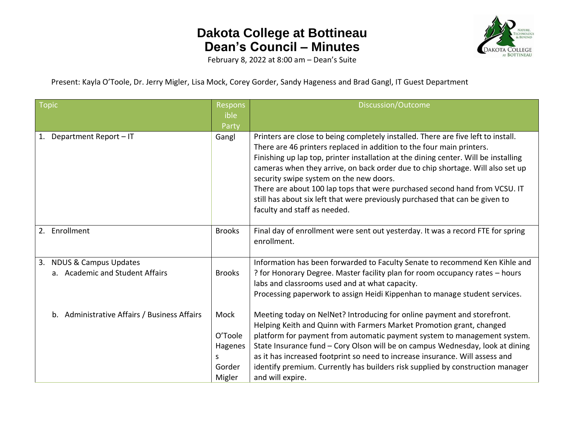## **Dakota College at Bottineau Dean's Council – Minutes**



February 8, 2022 at 8:00 am – Dean's Suite

Present: Kayla O'Toole, Dr. Jerry Migler, Lisa Mock, Corey Gorder, Sandy Hageness and Brad Gangl, IT Guest Department

| <b>Topic</b>                                                              | <b>Respons</b><br>ible<br>Party                     | Discussion/Outcome                                                                                                                                                                                                                                                                                                                                                                                                                                                                                                                                                           |
|---------------------------------------------------------------------------|-----------------------------------------------------|------------------------------------------------------------------------------------------------------------------------------------------------------------------------------------------------------------------------------------------------------------------------------------------------------------------------------------------------------------------------------------------------------------------------------------------------------------------------------------------------------------------------------------------------------------------------------|
| Department Report - IT<br>1.                                              | Gangl                                               | Printers are close to being completely installed. There are five left to install.<br>There are 46 printers replaced in addition to the four main printers.<br>Finishing up lap top, printer installation at the dining center. Will be installing<br>cameras when they arrive, on back order due to chip shortage. Will also set up<br>security swipe system on the new doors.<br>There are about 100 lap tops that were purchased second hand from VCSU. IT<br>still has about six left that were previously purchased that can be given to<br>faculty and staff as needed. |
| 2. Enrollment                                                             | <b>Brooks</b>                                       | Final day of enrollment were sent out yesterday. It was a record FTE for spring<br>enrollment.                                                                                                                                                                                                                                                                                                                                                                                                                                                                               |
| <b>NDUS &amp; Campus Updates</b><br>3.<br>a. Academic and Student Affairs | <b>Brooks</b>                                       | Information has been forwarded to Faculty Senate to recommend Ken Kihle and<br>? for Honorary Degree. Master facility plan for room occupancy rates - hours<br>labs and classrooms used and at what capacity.<br>Processing paperwork to assign Heidi Kippenhan to manage student services.                                                                                                                                                                                                                                                                                  |
| b. Administrative Affairs / Business Affairs                              | Mock<br>O'Toole<br>Hagenes<br>S<br>Gorder<br>Migler | Meeting today on NelNet? Introducing for online payment and storefront.<br>Helping Keith and Quinn with Farmers Market Promotion grant, changed<br>platform for payment from automatic payment system to management system.<br>State Insurance fund - Cory Olson will be on campus Wednesday, look at dining<br>as it has increased footprint so need to increase insurance. Will assess and<br>identify premium. Currently has builders risk supplied by construction manager<br>and will expire.                                                                           |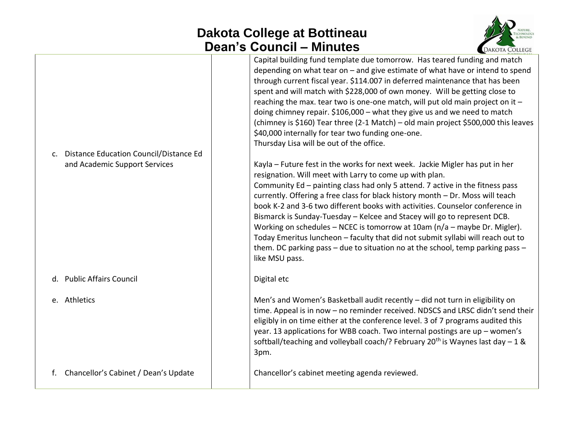## **Dakota College at Bottineau Dean's Council – Minutes**



| $C_{\star}$ | Distance Education Council/Distance Ed<br>and Academic Support Services | Capital building fund template due tomorrow. Has teared funding and match<br>depending on what tear on $-$ and give estimate of what have or intend to spend<br>through current fiscal year. \$114.007 in deferred maintenance that has been<br>spent and will match with \$228,000 of own money. Will be getting close to<br>reaching the max. tear two is one-one match, will put old main project on it -<br>doing chimney repair. \$106,000 - what they give us and we need to match<br>(chimney is \$160) Tear three (2-1 Match) - old main project \$500,000 this leaves<br>\$40,000 internally for tear two funding one-one.<br>Thursday Lisa will be out of the office.<br>Kayla - Future fest in the works for next week. Jackie Migler has put in her<br>resignation. Will meet with Larry to come up with plan.<br>Community Ed - painting class had only 5 attend. 7 active in the fitness pass<br>currently. Offering a free class for black history month - Dr. Moss will teach<br>book K-2 and 3-6 two different books with activities. Counselor conference in<br>Bismarck is Sunday-Tuesday - Kelcee and Stacey will go to represent DCB.<br>Working on schedules – NCEC is tomorrow at 10am (n/a – maybe Dr. Migler).<br>Today Emeritus luncheon - faculty that did not submit syllabi will reach out to<br>them. DC parking pass - due to situation no at the school, temp parking pass -<br>like MSU pass. |
|-------------|-------------------------------------------------------------------------|--------------------------------------------------------------------------------------------------------------------------------------------------------------------------------------------------------------------------------------------------------------------------------------------------------------------------------------------------------------------------------------------------------------------------------------------------------------------------------------------------------------------------------------------------------------------------------------------------------------------------------------------------------------------------------------------------------------------------------------------------------------------------------------------------------------------------------------------------------------------------------------------------------------------------------------------------------------------------------------------------------------------------------------------------------------------------------------------------------------------------------------------------------------------------------------------------------------------------------------------------------------------------------------------------------------------------------------------------------------------------------------------------------------------------------|
|             | d. Public Affairs Council                                               | Digital etc                                                                                                                                                                                                                                                                                                                                                                                                                                                                                                                                                                                                                                                                                                                                                                                                                                                                                                                                                                                                                                                                                                                                                                                                                                                                                                                                                                                                                    |
|             | e. Athletics                                                            | Men's and Women's Basketball audit recently - did not turn in eligibility on<br>time. Appeal is in now - no reminder received. NDSCS and LRSC didn't send their<br>eligibly in on time either at the conference level. 3 of 7 programs audited this<br>year. 13 applications for WBB coach. Two internal postings are up - women's<br>softball/teaching and volleyball coach/? February 20 <sup>th</sup> is Waynes last day $-1$ &<br>3pm.                                                                                                                                                                                                                                                                                                                                                                                                                                                                                                                                                                                                                                                                                                                                                                                                                                                                                                                                                                                     |
| f.          | Chancellor's Cabinet / Dean's Update                                    | Chancellor's cabinet meeting agenda reviewed.                                                                                                                                                                                                                                                                                                                                                                                                                                                                                                                                                                                                                                                                                                                                                                                                                                                                                                                                                                                                                                                                                                                                                                                                                                                                                                                                                                                  |